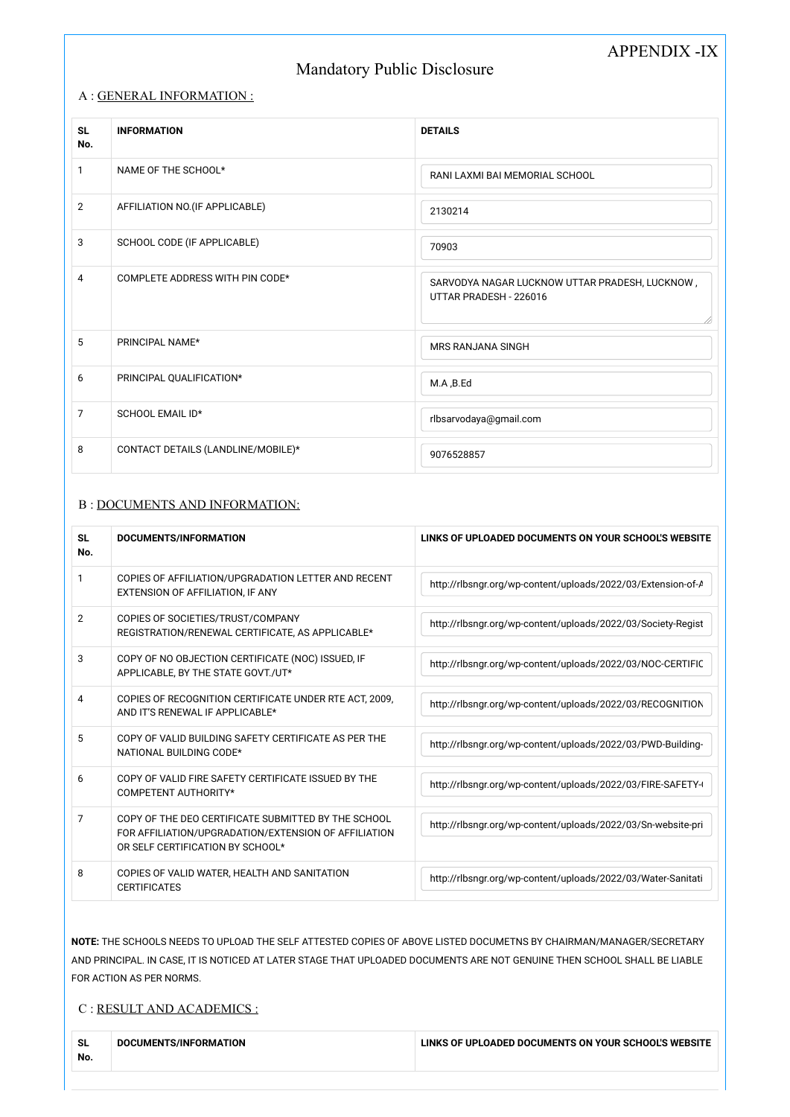# APPENDIX -IX

# Mandatory Public Disclosure

| <b>SL</b><br>No. | <b>INFORMATION</b>                 | <b>DETAILS</b>                                                           |
|------------------|------------------------------------|--------------------------------------------------------------------------|
| 1                | NAME OF THE SCHOOL*                | RANI LAXMI BAI MEMORIAL SCHOOL                                           |
| $\overline{2}$   | AFFILIATION NO.(IF APPLICABLE)     | 2130214                                                                  |
| 3                | SCHOOL CODE (IF APPLICABLE)        | 70903                                                                    |
| $\overline{4}$   | COMPLETE ADDRESS WITH PIN CODE*    | SARVODYA NAGAR LUCKNOW UTTAR PRADESH, LUCKNOW,<br>UTTAR PRADESH - 226016 |
| 5                | PRINCIPAL NAME*                    | <b>MRS RANJANA SINGH</b>                                                 |
| 6                | PRINCIPAL QUALIFICATION*           | M.A, B.Ed                                                                |
| $\overline{7}$   | SCHOOL EMAIL ID*                   | rlbsarvodaya@gmail.com                                                   |
| 8                | CONTACT DETAILS (LANDLINE/MOBILE)* | 9076528857                                                               |

#### A : GENERAL INFORMATION :

#### B : DOCUMENTS AND INFORMATION:

| <b>SL</b><br>No. | <b>DOCUMENTS/INFORMATION</b>                                                                                                                    | LINKS OF UPLOADED DOCUMENTS ON YOUR SCHOOL'S WEBSITE         |
|------------------|-------------------------------------------------------------------------------------------------------------------------------------------------|--------------------------------------------------------------|
| 1                | COPIES OF AFFILIATION/UPGRADATION LETTER AND RECENT<br>EXTENSION OF AFFILIATION, IF ANY                                                         | http://rlbsngr.org/wp-content/uploads/2022/03/Extension-of-A |
| $\overline{2}$   | COPIES OF SOCIETIES/TRUST/COMPANY<br>REGISTRATION/RENEWAL CERTIFICATE, AS APPLICABLE*                                                           | http://rlbsngr.org/wp-content/uploads/2022/03/Society-Regist |
| 3                | COPY OF NO OBJECTION CERTIFICATE (NOC) ISSUED, IF<br>APPLICABLE, BY THE STATE GOVT./UT*                                                         | http://rlbsngr.org/wp-content/uploads/2022/03/NOC-CERTIFIC   |
| 4                | COPIES OF RECOGNITION CERTIFICATE UNDER RTE ACT, 2009,<br>AND IT'S RENEWAL IF APPLICABLE*                                                       | http://rlbsngr.org/wp-content/uploads/2022/03/RECOGNITION    |
| 5                | COPY OF VALID BUILDING SAFETY CERTIFICATE AS PER THE<br>NATIONAL BUILDING CODE*                                                                 | http://rlbsngr.org/wp-content/uploads/2022/03/PWD-Building-  |
| 6                | COPY OF VALID FIRE SAFETY CERTIFICATE ISSUED BY THE<br>COMPETENT AUTHORITY*                                                                     | http://rlbsngr.org/wp-content/uploads/2022/03/FIRE-SAFETY-   |
| 7                | COPY OF THE DEO CERTIFICATE SUBMITTED BY THE SCHOOL<br>FOR AFFILIATION/UPGRADATION/EXTENSION OF AFFILIATION<br>OR SELF CERTIFICATION BY SCHOOL* | http://rlbsngr.org/wp-content/uploads/2022/03/Sn-website-pri |
| 8                | COPIES OF VALID WATER, HEALTH AND SANITATION<br><b>CERTIFICATES</b>                                                                             | http://rlbsngr.org/wp-content/uploads/2022/03/Water-Sanitati |

**NOTE:** THE SCHOOLS NEEDS TO UPLOAD THE SELF ATTESTED COPIES OF ABOVE LISTED DOCUMETNS BY CHAIRMAN/MANAGER/SECRETARY AND PRINCIPAL. IN CASE, IT IS NOTICED AT LATER STAGE THAT UPLOADED DOCUMENTS ARE NOT GENUINE THEN SCHOOL SHALL BE LIABLE FOR ACTION AS PER NORMS.

#### C : RESULT AND ACADEMICS :

| <b>SL</b><br>No. | DOCUMENTS/INFORMATION | LINKS OF UPLOADED DOCUMENTS ON YOUR SCHOOL'S WEBSITE |
|------------------|-----------------------|------------------------------------------------------|
|                  |                       |                                                      |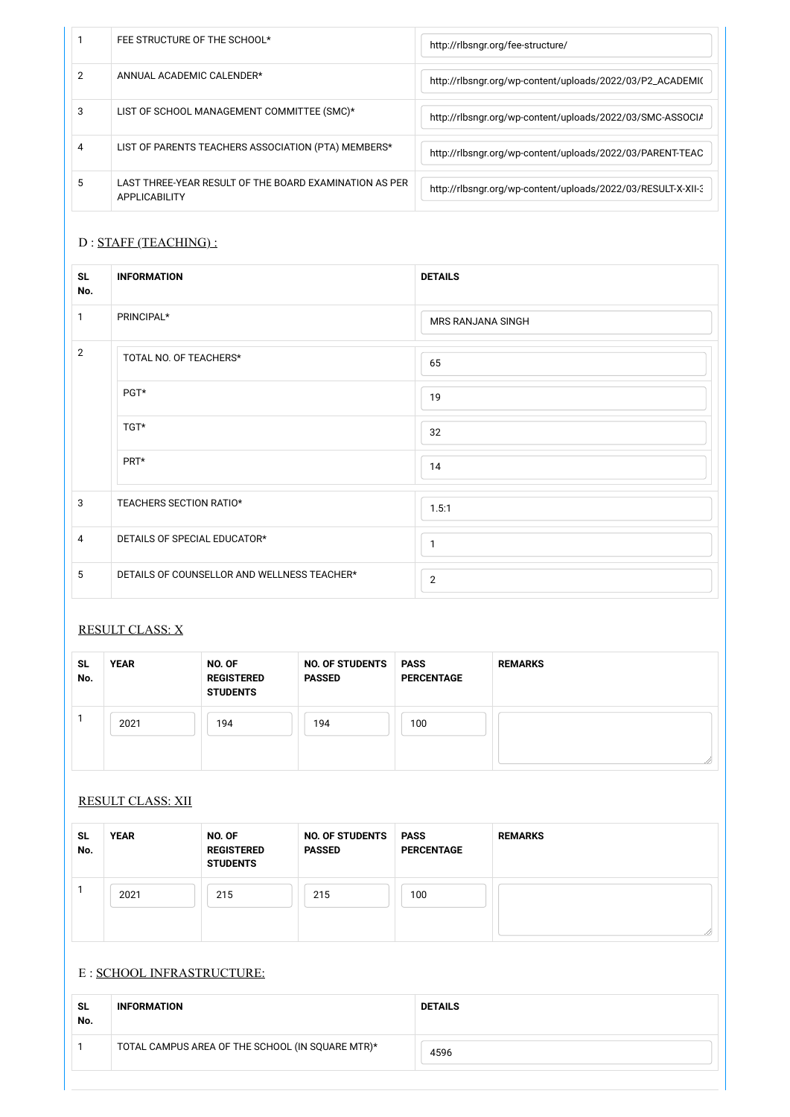|   | FEE STRUCTURE OF THE SCHOOL*                                                   | http://rlbsngr.org/fee-structure/                            |
|---|--------------------------------------------------------------------------------|--------------------------------------------------------------|
|   | ANNUAL ACADEMIC CALENDER*                                                      | http://rlbsngr.org/wp-content/uploads/2022/03/P2_ACADEMI(    |
| 3 | LIST OF SCHOOL MANAGEMENT COMMITTEE (SMC)*                                     | http://rlbsngr.org/wp-content/uploads/2022/03/SMC-ASSOCIA    |
|   | LIST OF PARENTS TEACHERS ASSOCIATION (PTA) MEMBERS*                            | http://rlbsngr.org/wp-content/uploads/2022/03/PARENT-TEAC    |
|   | LAST THREE-YEAR RESULT OF THE BOARD EXAMINATION AS PER<br><b>APPLICABILITY</b> | http://rlbsngr.org/wp-content/uploads/2022/03/RESULT-X-XII-3 |

### D : STAFF (TEACHING) :

| <b>SL</b><br>No. | <b>INFORMATION</b>                          | <b>DETAILS</b>    |
|------------------|---------------------------------------------|-------------------|
| 1                | PRINCIPAL*                                  | MRS RANJANA SINGH |
| $\overline{2}$   | TOTAL NO. OF TEACHERS*                      | 65                |
|                  | PGT*                                        | 19                |
|                  | TGT*                                        | 32                |
|                  | PRT*                                        | 14                |
| 3                | TEACHERS SECTION RATIO*                     | 1.5:1             |
| $\overline{4}$   | DETAILS OF SPECIAL EDUCATOR*                | $\mathbf{1}$      |
| 5                | DETAILS OF COUNSELLOR AND WELLNESS TEACHER* | $\overline{2}$    |

### RESULT CLASS: X

| <b>SL</b><br>No. | <b>YEAR</b> | NO. OF<br><b>REGISTERED</b><br><b>STUDENTS</b> | <b>NO. OF STUDENTS</b><br><b>PASSED</b> | <b>PASS</b><br><b>PERCENTAGE</b> | <b>REMARKS</b> |
|------------------|-------------|------------------------------------------------|-----------------------------------------|----------------------------------|----------------|
|                  | 2021        | 194                                            | 194                                     | 100                              |                |

#### RESULT CLASS: XII

| ~    | -АГ | <b>NO</b> | . I IF | <b>PASS</b> | nг    |
|------|-----|-----------|--------|-------------|-------|
| ີ ວ∟ | vr  | 0F        | . NC   | AJJ.        | TMADK |
|      |     |           |        |             |       |

| No. |      | <b>REGISTERED</b><br><b>STUDENTS</b> | <b>PASSED</b> | <b>PERCENTAGE</b> |  |
|-----|------|--------------------------------------|---------------|-------------------|--|
|     | 2021 | 215                                  | 215           | 100               |  |
|     |      |                                      |               |                   |  |

#### E : SCHOOL INFRASTRUCTURE:

| <b>SL</b><br>No. | <b>INFORMATION</b>                               | <b>DETAILS</b> |
|------------------|--------------------------------------------------|----------------|
|                  | TOTAL CAMPUS AREA OF THE SCHOOL (IN SQUARE MTR)* | 4596           |
|                  |                                                  |                |